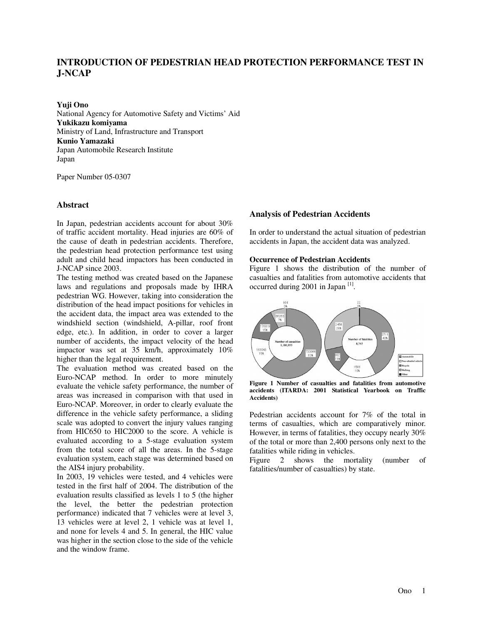# **INTRODUCTION OF PEDESTRIAN HEAD PROTECTION PERFORMANCE TEST IN J-NCAP**

**Yuji Ono** 

National Agency for Automotive Safety and Victims' Aid **Yukikazu komiyama**  Ministry of Land, Infrastructure and Transport **Kunio Yamazaki**  Japan Automobile Research Institute Japan

Paper Number 05-0307

## **Abstract**

In Japan, pedestrian accidents account for about 30% of traffic accident mortality. Head injuries are 60% of the cause of death in pedestrian accidents. Therefore, the pedestrian head protection performance test using adult and child head impactors has been conducted in J-NCAP since 2003.

The testing method was created based on the Japanese laws and regulations and proposals made by IHRA pedestrian WG. However, taking into consideration the distribution of the head impact positions for vehicles in the accident data, the impact area was extended to the windshield section (windshield, A-pillar, roof front edge, etc.). In addition, in order to cover a larger number of accidents, the impact velocity of the head impactor was set at 35 km/h, approximately 10% higher than the legal requirement.

The evaluation method was created based on the Euro-NCAP method. In order to more minutely evaluate the vehicle safety performance, the number of areas was increased in comparison with that used in Euro-NCAP. Moreover, in order to clearly evaluate the difference in the vehicle safety performance, a sliding scale was adopted to convert the injury values ranging from HIC650 to HIC2000 to the score. A vehicle is evaluated according to a 5-stage evaluation system from the total score of all the areas. In the 5-stage evaluation system, each stage was determined based on the AIS4 injury probability.

In 2003, 19 vehicles were tested, and 4 vehicles were tested in the first half of 2004. The distribution of the evaluation results classified as levels 1 to 5 (the higher the level, the better the pedestrian protection performance) indicated that 7 vehicles were at level 3, 13 vehicles were at level 2, 1 vehicle was at level 1, and none for levels 4 and 5. In general, the HIC value was higher in the section close to the side of the vehicle and the window frame.

#### **Analysis of Pedestrian Accidents**

In order to understand the actual situation of pedestrian accidents in Japan, the accident data was analyzed.

#### **Occurrence of Pedestrian Accidents**

Figure 1 shows the distribution of the number of casualties and fatalities from automotive accidents that occurred during 2001 in Japan [1].



**Figure 1 Number of casualties and fatalities from automotive accidents (ITARDA: 2001 Statistical Yearbook on Traffic Accidents)**

Pedestrian accidents account for 7% of the total in terms of casualties, which are comparatively minor. However, in terms of fatalities, they occupy nearly 30% of the total or more than 2,400 persons only next to the fatalities while riding in vehicles.

Figure 2 shows the mortality (number of fatalities/number of casualties) by state.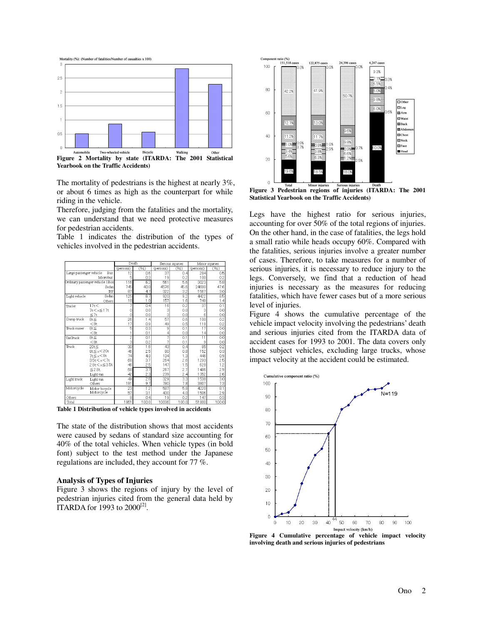

**Yearbook on the Traffic Accidents)** 

The mortality of pedestrians is the highest at nearly 3%, or about 6 times as high as the counterpart for while riding in the vehicle.

Therefore, judging from the fatalities and the mortality, we can understand that we need protective measures for pedestrian accidents.

Table 1 indicates the distribution of the types of vehicles involved in the pedestrian accidents.

|                         |                                 | Death          |          | Serious injuries |       | Minor injuries  |                 |
|-------------------------|---------------------------------|----------------|----------|------------------|-------|-----------------|-----------------|
|                         |                                 | (persons)      | (%)      | (persons)        | (%)   | (persons)       | (%)             |
| Large passenger vehicle | <b>Bus</b>                      | 12             | 0.6      | 37               | 0.4   | 284             | 0.5             |
|                         | Microbus                        | 5              | 0.3      | 19               | 0.2   | 100             | 0.2             |
|                         | Ordinary passenger vehicle 1Box | 116            | 6.2      | 561              | 5.6   | 3023            | 5.8             |
|                         | Sedan                           | 745            | 40.0     | 4576             | 45.6  | 24680           | 47.6            |
|                         | RV                              | 87             | 4.7      | 322              | 3.2   | 1567            | 3.0             |
| Light vehicle           | Sedan                           | 125            | 6.7      | 920              | 9.2   | 4422            | 85              |
|                         | Others                          | 18             | 1.0      | 157              | 1.6   | 749             | 1.4             |
| Trailer                 | 17t<                            |                | 0.4      | 16               | 0.2   | 37              | 0.1             |
|                         | $7t < x \le 17t$                | 0              | 0.0      | 3                | 0.0   | 3               | 0.0             |
|                         | $\leq 7t$                       | 0              | 0.0      | 3                | 0.0   | 6               | 0.0             |
| Dump truck              | $8t \leq$                       | 26             | 1.4      | 57               | 0.6   | 100             | 0.2             |
|                         | < 8t                            | 17             | $_{0.9}$ | 49               | 0.5   | 118             | 0.2             |
| Truck mixer             | $8t \leq$                       | 5              | $_{03}$  | 9                | 0.1   | 17              | 0.0             |
|                         | $8t$                            |                | 0.1      | $\overline{4}$   | 0.0   | 14              | 0.0             |
| TanTruck                | $8t \leq$                       | $\overline{c}$ | 0.1      | 7                | 0.1   | $\overline{11}$ | 0.0             |
|                         | $8t$                            | 3              | 0.2      | 7                | 0.1   | 9               | 0.0             |
| Truck                   | 20t≦                            | 30             | 1.6      | 43               | 0.4   | 85              | 02              |
|                         | $8t \le x < 20t$                | 46             | 2.5      | 80               | 0.8   | 152             | 0.3             |
|                         | $7t \leq x \leq 8t$             | 74             | 4.0      | 134              | 1.3   | 446             | 0.9             |
|                         | 3.5t < x < 7t                   | 68             | 3.7      | 264              | 2.6   | 1293            | 2.5             |
|                         | 2.8t<×≦3.5t                     | 46             | 2.5      | 147              | 1.5   | 628             | 1.2             |
|                         | ≤2.8t                           | 68             | 3.7      | 267              | 2.7   | 1486            | 2.9             |
|                         | Light van                       | 42             | 2.3      | 239              | 2.4   | 1352            | 2.6             |
| Light truck             | Light van                       | 49             | 26       | 329              | 3.3   | 1538            | 30 <sub>o</sub> |
|                         | Others                          | 181            | 9.7      | 780              | 7.8   | 3807            | 7.3             |
| Motorcycle              | Motor bicycle                   | 23             | 1.2      | 587              | 5.8   | 4220            | 8.1             |
|                         | Motorcycle                      | 57             | 3.1      | 400              | 4.0   | 1506            | 2.9             |
| Others                  |                                 | $\overline{8}$ | 0.4      | 19               | 0.2   | 147             | 0.3             |
| Total                   |                                 | 1861           | 100.0    | 10036            | 100.0 | 51800           | 100.0           |

**Table 1 Distribution of vehicle types involved in accidents**

The state of the distribution shows that most accidents were caused by sedans of standard size accounting for 40% of the total vehicles. When vehicle types (in bold font) subject to the test method under the Japanese regulations are included, they account for 77 %.

### **Analysis of Types of Injuries**

Figure 3 shows the regions of injury by the level of pedestrian injuries cited from the general data held by ITARDA for 1993 to 2000[2].



**Figure 3 Pedestrian regions of injuries (ITARDA: The 2001 Statistical Yearbook on the Traffic Accidents)** 

Legs have the highest ratio for serious injuries, accounting for over 50% of the total regions of injuries. On the other hand, in the case of fatalities, the legs hold a small ratio while heads occupy 60%. Compared with the fatalities, serious injuries involve a greater number of cases. Therefore, to take measures for a number of serious injuries, it is necessary to reduce injury to the legs. Conversely, we find that a reduction of head injuries is necessary as the measures for reducing fatalities, which have fewer cases but of a more serious level of injuries.

Figure 4 shows the cumulative percentage of the vehicle impact velocity involving the pedestrians' death and serious injuries cited from the ITARDA data of accident cases for 1993 to 2001. The data covers only those subject vehicles, excluding large trucks, whose impact velocity at the accident could be estimated.



**Figure 4 Cumulative percentage of vehicle impact velocity involving death and serious injuries of pedestrians**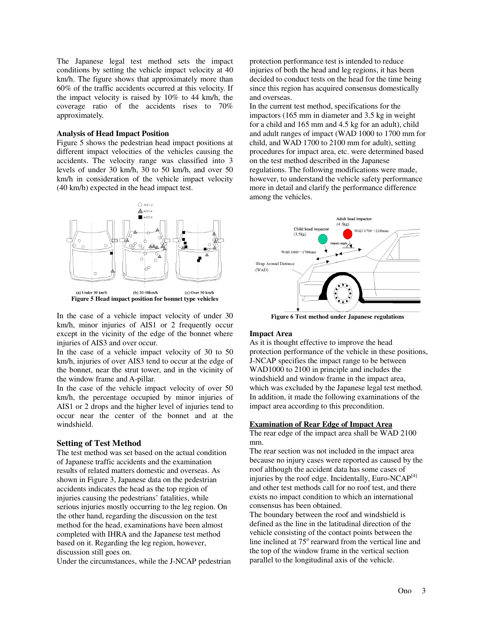The Japanese legal test method sets the impact conditions by setting the vehicle impact velocity at 40 km/h. The figure shows that approximately more than 60% of the traffic accidents occurred at this velocity. If the impact velocity is raised by 10% to 44 km/h, the coverage ratio of the accidents rises to 70% approximately.

### **Analysis of Head Impact Position**

Figure 5 shows the pedestrian head impact positions at different impact velocities of the vehicles causing the accidents. The velocity range was classified into 3 levels of under 30 km/h, 30 to 50 km/h, and over 50 km/h in consideration of the vehicle impact velocity (40 km/h) expected in the head impact test.



In the case of a vehicle impact velocity of under 30 km/h, minor injuries of AIS1 or 2 frequently occur except in the vicinity of the edge of the bonnet where injuries of AIS3 and over occur.

In the case of a vehicle impact velocity of 30 to 50 km/h, injuries of over AIS3 tend to occur at the edge of the bonnet, near the strut tower, and in the vicinity of the window frame and A-pillar.

In the case of the vehicle impact velocity of over 50 km/h, the percentage occupied by minor injuries of AIS1 or 2 drops and the higher level of injuries tend to occur near the center of the bonnet and at the windshield.

## **Setting of Test Method**

The test method was set based on the actual condition of Japanese traffic accidents and the examination results of related matters domestic and overseas. As shown in Figure 3, Japanese data on the pedestrian accidents indicates the head as the top region of injuries causing the pedestrians' fatalities, while serious injuries mostly occurring to the leg region. On the other hand, regarding the discussion on the test method for the head, examinations have been almost completed with IHRA and the Japanese test method based on it. Regarding the leg region, however, discussion still goes on.

Under the circumstances, while the J-NCAP pedestrian

protection performance test is intended to reduce injuries of both the head and leg regions, it has been decided to conduct tests on the head for the time being since this region has acquired consensus domestically and overseas.

In the current test method, specifications for the impactors (165 mm in diameter and 3.5 kg in weight for a child and 165 mm and 4.5 kg for an adult), child and adult ranges of impact (WAD 1000 to 1700 mm for child, and WAD 1700 to 2100 mm for adult), setting procedures for impact area, etc. were determined based on the test method described in the Japanese regulations. The following modifications were made, however, to understand the vehicle safety performance more in detail and clarify the performance difference among the vehicles.



**Figure 6 Test method under Japanese regulations**

## **Impact Area**

As it is thought effective to improve the head protection performance of the vehicle in these positions, J-NCAP specifies the impact range to be between WAD1000 to 2100 in principle and includes the windshield and window frame in the impact area, which was excluded by the Japanese legal test method. In addition, it made the following examinations of the impact area according to this precondition.

#### **Examination of Rear Edge of Impact Area**

The rear edge of the impact area shall be WAD 2100 mm.

The rear section was not included in the impact area because no injury cases were reported as caused by the roof although the accident data has some cases of injuries by the roof edge. Incidentally, Euro-NCA $P^{[4]}$ and other test methods call for no roof test, and there exists no impact condition to which an international consensus has been obtained.

The boundary between the roof and windshield is defined as the line in the latitudinal direction of the vehicle consisting of the contact points between the line inclined at  $75^{\circ}$  rearward from the vertical line and the top of the window frame in the vertical section parallel to the longitudinal axis of the vehicle.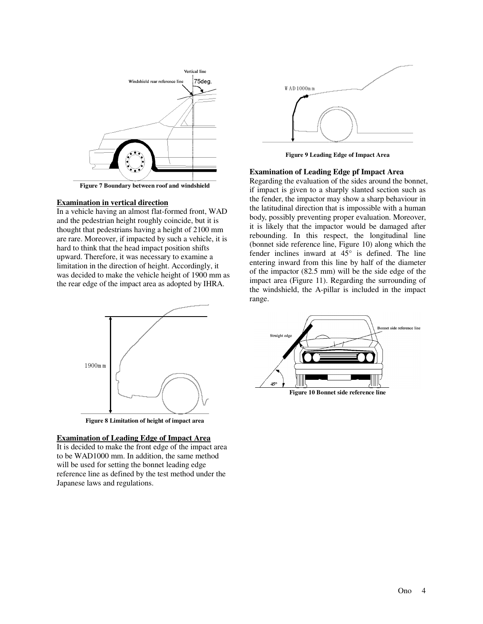

**Figure 7 Boundary between roof and windshield** 

### **Examination in vertical direction**

In a vehicle having an almost flat-formed front, WAD and the pedestrian height roughly coincide, but it is thought that pedestrians having a height of 2100 mm are rare. Moreover, if impacted by such a vehicle, it is hard to think that the head impact position shifts upward. Therefore, it was necessary to examine a limitation in the direction of height. Accordingly, it was decided to make the vehicle height of 1900 mm as the rear edge of the impact area as adopted by IHRA.



**Figure 8 Limitation of height of impact area** 

#### **Examination of Leading Edge of Impact Area**

It is decided to make the front edge of the impact area to be WAD1000 mm. In addition, the same method will be used for setting the bonnet leading edge reference line as defined by the test method under the Japanese laws and regulations.



**Figure 9 Leading Edge of Impact Area** 

#### **Examination of Leading Edge pf Impact Area**

Regarding the evaluation of the sides around the bonnet, if impact is given to a sharply slanted section such as the fender, the impactor may show a sharp behaviour in the latitudinal direction that is impossible with a human body, possibly preventing proper evaluation. Moreover, it is likely that the impactor would be damaged after rebounding. In this respect, the longitudinal line (bonnet side reference line, Figure 10) along which the fender inclines inward at  $45^{\circ}$  is defined. The line entering inward from this line by half of the diameter of the impactor (82.5 mm) will be the side edge of the impact area (Figure 11). Regarding the surrounding of the windshield, the A-pillar is included in the impact range.



**Figure 10 Bonnet side reference line**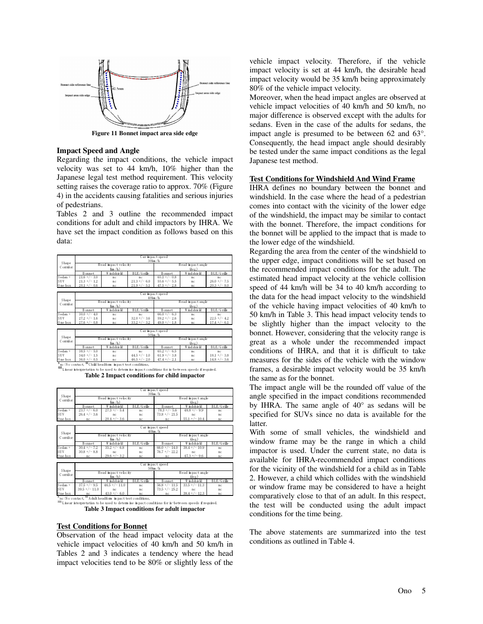

**Figure 11 Bonnet impact area side edge** 

#### **Impact Speed and Angle**

Regarding the impact conditions, the vehicle impact velocity was set to 44 km/h, 10% higher than the Japanese legal test method requirement. This velocity setting raises the coverage ratio to approx. 70% (Figure 4) in the accidents causing fatalities and serious injuries of pedestrians.

Tables 2 and 3 outline the recommended impact conditions for adult and child impactors by IHRA. We have set the impact condition as follows based on this data:

|                   | Car in pact speed<br>30km/h                                    |                                        |                 |                                                                                                          |            |                |  |  |
|-------------------|----------------------------------------------------------------|----------------------------------------|-----------------|----------------------------------------------------------------------------------------------------------|------------|----------------|--|--|
| Shape<br>Corridor |                                                                | Head in pact velocity<br>$\frac{1}{2}$ |                 | Head in pact angle<br>$(\deg.)$                                                                          |            |                |  |  |
|                   | Bonnet                                                         | W ndshield                             | BLE/Grille      | Bonnet                                                                                                   | W ndshield | BLE/Grille     |  |  |
| $S$ edan +        | $21.6 +/- 3.0$                                                 | nc                                     | nc              | $65.1 +/- 0.8$                                                                                           | nc         | nc             |  |  |
| SUV               | $21.3 +/- 1.2$                                                 | n c                                    | $21.3 + (-6.0)$ | $55.6 +/- 5.5$                                                                                           | nc.        | $26.0 +/- 7.5$ |  |  |
| 0 ne box          | $20.1$ +/- 0.6                                                 | nc                                     | $21.9 + (-5.1)$ | $47.5 +/- 2.8$                                                                                           | nc         | $20.3 + - 8.0$ |  |  |
|                   |                                                                |                                        |                 |                                                                                                          |            |                |  |  |
|                   | Car impact speed                                               |                                        |                 |                                                                                                          |            |                |  |  |
| Shape<br>Corridor | 40km/h<br>Head in pact velocity<br>Head in pact angle          |                                        |                 |                                                                                                          |            |                |  |  |
|                   | $\frac{1}{2}$                                                  |                                        |                 | $(\deg.)$                                                                                                |            |                |  |  |
|                   | BLE/Grille<br>Bonnet<br>W indshield                            |                                        |                 | <b>B</b> onnet                                                                                           | Windshield | BLE/Grille     |  |  |
| Sedan +           | $30.0 +/- 4.0$                                                 | nc                                     | nc.             | $66.0 +/- 6.3$                                                                                           | nc         | nc             |  |  |
| SUV               | $27.2 +/- 1.6$                                                 | n c                                    | $32.0 +/- 3.6$  | $59.2 +/- 2.6$                                                                                           | nc.        | $22.5 +/- 4.2$ |  |  |
| 0 ne box          | $27.6$ +/- 0.8                                                 | nc                                     | $33.2 + (-3.2)$ | $49.8 +/- 1.8$                                                                                           | nc         | $17.4$ +/- 6.1 |  |  |
|                   |                                                                |                                        |                 |                                                                                                          |            |                |  |  |
| Shape<br>Corridor | Car in pact speed<br>50km/h                                    |                                        |                 |                                                                                                          |            |                |  |  |
|                   | Head in pact velocity                                          |                                        |                 | Head in pact angle                                                                                       |            |                |  |  |
|                   | $\frac{1}{2}$                                                  |                                        |                 | $(\deg.)$                                                                                                |            |                |  |  |
|                   | Bonnet                                                         | W ndshield                             | BLE/Grille      | Bonnet                                                                                                   | Windshield | BLE/Grille     |  |  |
| $S$ edan +        | $38.5 +/- 5.0$                                                 | nc                                     | nc.             | $65.2 + - 6.5$                                                                                           | nc         | nc             |  |  |
| SUV               | $34.0 +/- 1.5$                                                 | nc                                     | $44.5 +/- 1.0$  | $61.9 +/- 3.8$                                                                                           | nc         | $18.1 + - 3.8$ |  |  |
| 0 ne box          | $36.0 +/- 0.5$                                                 | nc                                     | $46.5 +/- 2.0$  | $47.4 +/- 2.1$                                                                                           | nc         | $14.8 +/- 3.6$ |  |  |
|                   | $4$ nc:No contact, $41$ Child headform impact test conditions, |                                        |                 |                                                                                                          |            |                |  |  |
|                   |                                                                |                                        |                 | 444. Linear interpretation to be used to determine in pact conditions for in-between speeds if required. |            |                |  |  |

**Table 2 Impact conditions for child impactor** 

|                   | Car in pact speed |                           |            |                    |                 |            |  |  |  |
|-------------------|-------------------|---------------------------|------------|--------------------|-----------------|------------|--|--|--|
| Shape<br>Corridor | $30 \text{km/h}$  |                           |            |                    |                 |            |  |  |  |
|                   |                   | Head in pact velocity     |            | Head in pact angle |                 |            |  |  |  |
|                   |                   | $\frac{1}{\text{km}}$ /h) |            |                    | deg.            |            |  |  |  |
|                   | Bonnet            | W ndshield                | BLE/Grille | Bonnet             | Windshield      | BLE/Grille |  |  |  |
| $S$ edan +        | $23.7 + - 6.0$    | $27.3 + - 5.4$            | nc         | $78.3 + - 5.6$     | $48.8 + -9.9$   | nc         |  |  |  |
| SUV               | $26.4 + - 3.6$    | nc                        | nc         | $73.8 + - 21.5$    | nc              | nc         |  |  |  |
| 0 ne box          | nc                | $20.4 + -3.6$             | nc         | nc                 | $55.1 +/- 10.4$ | nc         |  |  |  |
|                   |                   |                           |            |                    |                 |            |  |  |  |
|                   | Car in pact speed |                           |            |                    |                 |            |  |  |  |
| Shape<br>Corridor | 40km/h            |                           |            |                    |                 |            |  |  |  |
|                   |                   | Head in pact velocity     |            | Head in pact angle |                 |            |  |  |  |
|                   |                   | $\frac{1}{2}$             |            |                    | deg.            |            |  |  |  |
|                   | Bonnet            | W indshield               | BLE/Grille | Bonnet             | W indshield     | BLE/Grille |  |  |  |
| $S$ edan +        | $30.4 +/- 7.2$    | $35.2 + - 6.8$            | nc         | $66.0 +/- 14.0$    | $38.4 +/- 10.9$ | nc         |  |  |  |
| SUV               | $30.8 + - 8.8$    | nc                        | nc         | $76.7 + (-22.2)$   | nc              | nc         |  |  |  |
| 0 ne box          | nc                | $29.6 + - 3.2$            | nc         | nc                 | $47.3 + -9.6$   | nc         |  |  |  |
|                   |                   |                           |            |                    |                 |            |  |  |  |
| Shape<br>Corridor | Car in pact speed |                           |            |                    |                 |            |  |  |  |
|                   | 50km/h            |                           |            |                    |                 |            |  |  |  |
|                   |                   | Head in pact velocity     |            | Head in pact angle |                 |            |  |  |  |
|                   |                   | $\frac{\ln \ln h}{h}$     |            | (deg.)             |                 |            |  |  |  |
|                   | Bonnet            | W ndshield                | BLE/Grille | Bonnet             | W ndshield      | BLE/Grille |  |  |  |
| Sedan +           | $37.5 + (-9.5)$   | $46.5 + (-11.0$           | nc         | $56.8 +/- 11.5$    | $33.5 + - 11.3$ | nc         |  |  |  |
| SUV               | $39.5 +/- 11.0$   | nc                        | nc         | $73.5 + (-25.2)$   | nc              | nc         |  |  |  |
| $0$ ne $box$      | nc                | $43.0 + (-6.0$            | nc         | nc                 | $38.4 +/- 12.3$ | nc         |  |  |  |

 $\frac{1}{200}$  Linear interpretation to be tused to determ ine in pact conditions for in-betw een speeds if required. **Table 3 Impact conditions for adult impactor** 

#### **Test Conditions for Bonnet**

Observation of the head impact velocity data at the vehicle impact velocities of 40 km/h and 50 km/h in Tables 2 and 3 indicates a tendency where the head impact velocities tend to be 80% or slightly less of the vehicle impact velocity. Therefore, if the vehicle impact velocity is set at 44 km/h, the desirable head impact velocity would be 35 km/h being approximately 80% of the vehicle impact velocity.

Moreover, when the head impact angles are observed at vehicle impact velocities of 40 km/h and 50 km/h, no major difference is observed except with the adults for sedans. Even in the case of the adults for sedans, the impact angle is presumed to be between 62 and 63°. Consequently, the head impact angle should desirably be tested under the same impact conditions as the legal Japanese test method.

#### **Test Conditions for Windshield And Wind Frame**

IHRA defines no boundary between the bonnet and windshield. In the case where the head of a pedestrian comes into contact with the vicinity of the lower edge of the windshield, the impact may be similar to contact with the bonnet. Therefore, the impact conditions for the bonnet will be applied to the impact that is made to the lower edge of the windshield.

Regarding the area from the center of the windshield to the upper edge, impact conditions will be set based on the recommended impact conditions for the adult. The estimated head impact velocity at the vehicle collision speed of 44 km/h will be 34 to 40 km/h according to the data for the head impact velocity to the windshield of the vehicle having impact velocities of 40 km/h to 50 km/h in Table 3. This head impact velocity tends to be slightly higher than the impact velocity to the bonnet. However, considering that the velocity range is great as a whole under the recommended impact conditions of IHRA, and that it is difficult to take measures for the sides of the vehicle with the window frames, a desirable impact velocity would be 35 km/h the same as for the bonnet.

The impact angle will be the rounded off value of the angle specified in the impact conditions recommended by IHRA. The same angle of 40° as sedans will be specified for SUVs since no data is available for the latter.

With some of small vehicles, the windshield and window frame may be the range in which a child impactor is used. Under the current state, no data is available for IHRA-recommended impact conditions for the vicinity of the windshield for a child as in Table 2. However, a child which collides with the windshield or window frame may be considered to have a height comparatively close to that of an adult. In this respect, the test will be conducted using the adult impact conditions for the time being.

The above statements are summarized into the test conditions as outlined in Table 4.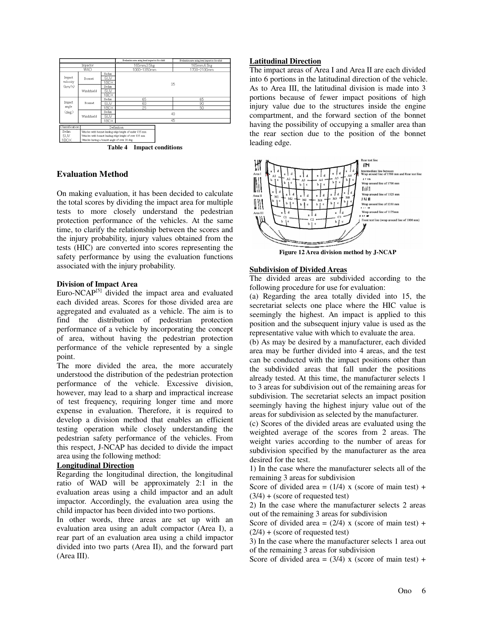

## **Evaluation Method**

On making evaluation, it has been decided to calculate the total scores by dividing the impact area for multiple tests to more closely understand the pedestrian protection performance of the vehicles. At the same time, to clarify the relationship between the scores and the injury probability, injury values obtained from the tests (HIC) are converted into scores representing the safety performance by using the evaluation functions associated with the injury probability.

## **Division of Impact Area**

Euro-NCA $P^{[5]}$  divided the impact area and evaluated each divided areas. Scores for those divided area are aggregated and evaluated as a vehicle. The aim is to find the distribution of pedestrian protection performance of a vehicle by incorporating the concept of area, without having the pedestrian protection performance of the vehicle represented by a single point.

The more divided the area, the more accurately understood the distribution of the pedestrian protection performance of the vehicle. Excessive division, however, may lead to a sharp and impractical increase of test frequency, requiring longer time and more expense in evaluation. Therefore, it is required to develop a division method that enables an efficient testing operation while closely understanding the pedestrian safety performance of the vehicles. From this respect, J-NCAP has decided to divide the impact area using the following method:

## **Longitudinal Direction**

Regarding the longitudinal direction, the longitudinal ratio of WAD will be approximately 2:1 in the evaluation areas using a child impactor and an adult impactor. Accordingly, the evaluation area using the child impactor has been divided into two portions.

In other words, three areas are set up with an evaluation area using an adult compactor (Area I), a rear part of an evaluation area using a child impactor divided into two parts (Area II), and the forward part (Area III).

## **Latitudinal Direction**

The impact areas of Area I and Area II are each divided into 6 portions in the latitudinal direction of the vehicle. As to Area III, the latitudinal division is made into 3 portions because of fewer impact positions of high injury value due to the structures inside the engine compartment, and the forward section of the bonnet having the possibility of occupying a smaller area than the rear section due to the position of the bonnet leading edge.



**Figure 12 Area division method by J-NCAP**

## **Subdivision of Divided Areas**

The divided areas are subdivided according to the following procedure for use for evaluation:

(a) Regarding the area totally divided into 15, the secretariat selects one place where the HIC value is seemingly the highest. An impact is applied to this position and the subsequent injury value is used as the representative value with which to evaluate the area.

(b) As may be desired by a manufacturer, each divided area may be further divided into 4 areas, and the test can be conducted with the impact positions other than the subdivided areas that fall under the positions already tested. At this time, the manufacturer selects 1 to 3 areas for subdivision out of the remaining areas for subdivision. The secretariat selects an impact position seemingly having the highest injury value out of the areas for subdivision as selected by the manufacturer.

(c) Scores of the divided areas are evaluated using the weighted average of the scores from 2 areas. The weight varies according to the number of areas for subdivision specified by the manufacturer as the area desired for the test.

1) In the case where the manufacturer selects all of the remaining 3 areas for subdivision

Score of divided area  $= (1/4)$  x (score of main test) +  $(3/4) + (score of requested test)$ 

2) In the case where the manufacturer selects 2 areas out of the remaining 3 areas for subdivision

Score of divided area =  $(2/4)$  x (score of main test) +  $(2/4) + (score of requested test)$ 

3) In the case where the manufacturer selects 1 area out of the remaining 3 areas for subdivision

Score of divided area =  $(3/4)$  x (score of main test) +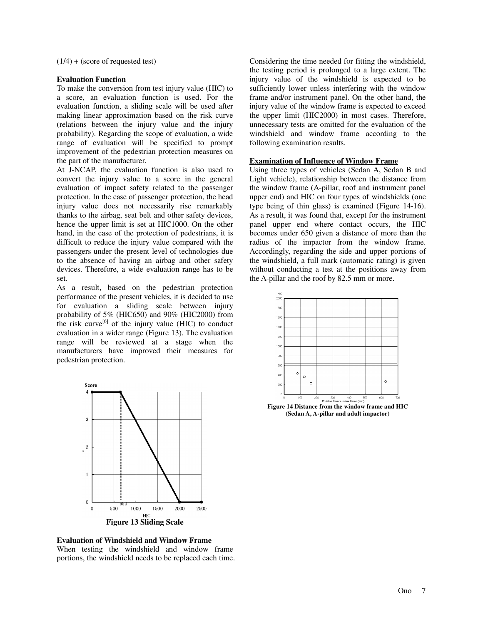$(1/4) + (score of requested test)$ 

## **Evaluation Function**

To make the conversion from test injury value (HIC) to a score, an evaluation function is used. For the evaluation function, a sliding scale will be used after making linear approximation based on the risk curve (relations between the injury value and the injury probability). Regarding the scope of evaluation, a wide range of evaluation will be specified to prompt improvement of the pedestrian protection measures on the part of the manufacturer.

At J-NCAP, the evaluation function is also used to convert the injury value to a score in the general evaluation of impact safety related to the passenger protection. In the case of passenger protection, the head injury value does not necessarily rise remarkably thanks to the airbag, seat belt and other safety devices, hence the upper limit is set at HIC1000. On the other hand, in the case of the protection of pedestrians, it is difficult to reduce the injury value compared with the passengers under the present level of technologies due to the absence of having an airbag and other safety devices. Therefore, a wide evaluation range has to be set.

As a result, based on the pedestrian protection performance of the present vehicles, it is decided to use for evaluation a sliding scale between injury probability of 5% (HIC650) and 90% (HIC2000) from the risk curve<sup>[6]</sup> of the injury value (HIC) to conduct evaluation in a wider range (Figure 13). The evaluation range will be reviewed at a stage when the manufacturers have improved their measures for pedestrian protection.





Considering the time needed for fitting the windshield, the testing period is prolonged to a large extent. The injury value of the windshield is expected to be sufficiently lower unless interfering with the window frame and/or instrument panel. On the other hand, the injury value of the window frame is expected to exceed the upper limit (HIC2000) in most cases. Therefore, unnecessary tests are omitted for the evaluation of the windshield and window frame according to the following examination results.

## **Examination of Influence of Window Frame**

Using three types of vehicles (Sedan A, Sedan B and Light vehicle), relationship between the distance from the window frame (A-pillar, roof and instrument panel upper end) and HIC on four types of windshields (one type being of thin glass) is examined (Figure 14-16). As a result, it was found that, except for the instrument panel upper end where contact occurs, the HIC becomes under 650 given a distance of more than the radius of the impactor from the window frame. Accordingly, regarding the side and upper portions of the windshield, a full mark (automatic rating) is given without conducting a test at the positions away from the A-pillar and the roof by 82.5 mm or more.



**(Sedan A, A-pillar and adult impactor)**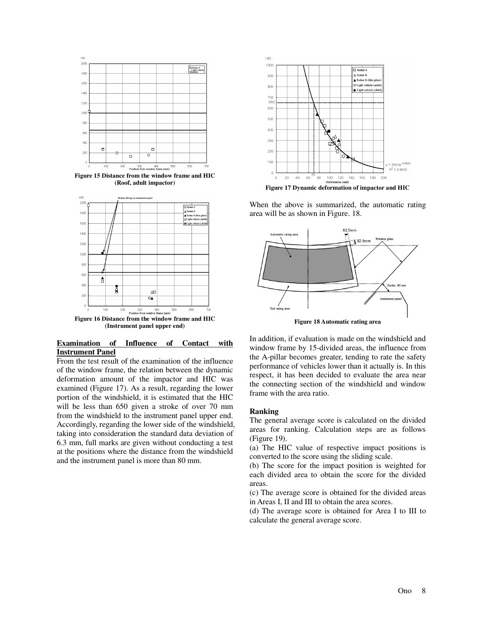

**Figure 15 Distance from the window frame and HIC (Roof, adult impactor)** 



## **Examination of Influence of Contact with Instrument Panel**

From the test result of the examination of the influence of the window frame, the relation between the dynamic deformation amount of the impactor and HIC was examined (Figure 17). As a result, regarding the lower portion of the windshield, it is estimated that the HIC will be less than 650 given a stroke of over 70 mm from the windshield to the instrument panel upper end. Accordingly, regarding the lower side of the windshield, taking into consideration the standard data deviation of 6.3 mm, full marks are given without conducting a test at the positions where the distance from the windshield and the instrument panel is more than 80 mm.



**Figure 17 Dynamic deformation of impactor and HIC** 

When the above is summarized, the automatic rating area will be as shown in Figure. 18.



**Figure 18 Automatic rating area**

In addition, if evaluation is made on the windshield and window frame by 15-divided areas, the influence from the A-pillar becomes greater, tending to rate the safety performance of vehicles lower than it actually is. In this respect, it has been decided to evaluate the area near the connecting section of the windshield and window frame with the area ratio.

## **Ranking**

The general average score is calculated on the divided areas for ranking. Calculation steps are as follows (Figure 19).

(a) The HIC value of respective impact positions is converted to the score using the sliding scale.

(b) The score for the impact position is weighted for each divided area to obtain the score for the divided areas.

(c) The average score is obtained for the divided areas in Areas I, II and III to obtain the area scores.

(d) The average score is obtained for Area I to III to calculate the general average score.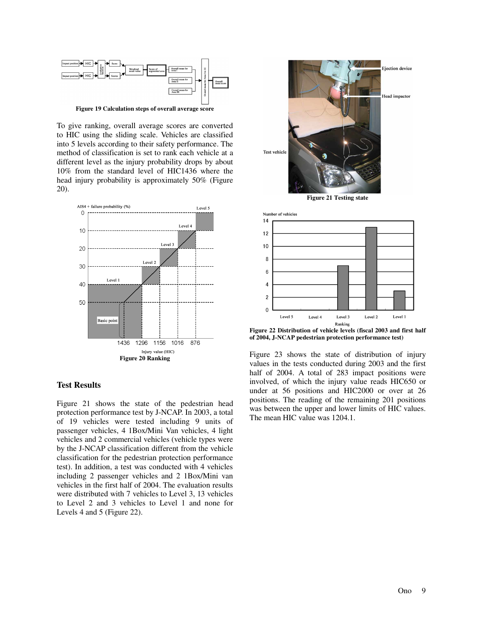

**Figure 19 Calculation steps of overall average score** 

To give ranking, overall average scores are converted to HIC using the sliding scale. Vehicles are classified into 5 levels according to their safety performance. The method of classification is set to rank each vehicle at a different level as the injury probability drops by about 10% from the standard level of HIC1436 where the head injury probability is approximately 50% (Figure 20).



## **Test Results**

Figure 21 shows the state of the pedestrian head protection performance test by J-NCAP. In 2003, a total of 19 vehicles were tested including 9 units of passenger vehicles, 4 1Box/Mini Van vehicles, 4 light vehicles and 2 commercial vehicles (vehicle types were by the J-NCAP classification different from the vehicle classification for the pedestrian protection performance test). In addition, a test was conducted with 4 vehicles including 2 passenger vehicles and 2 1Box/Mini van vehicles in the first half of 2004. The evaluation results were distributed with 7 vehicles to Level 3, 13 vehicles to Level 2 and 3 vehicles to Level 1 and none for Levels 4 and 5 (Figure 22).



**Figure 21 Testing state** 



**Figure 22 Distribution of vehicle levels (fiscal 2003 and first half of 2004, J-NCAP pedestrian protection performance test)**

Figure 23 shows the state of distribution of injury values in the tests conducted during 2003 and the first half of 2004. A total of 283 impact positions were involved, of which the injury value reads HIC650 or under at 56 positions and HIC2000 or over at 26 positions. The reading of the remaining 201 positions was between the upper and lower limits of HIC values. The mean HIC value was 1204.1.